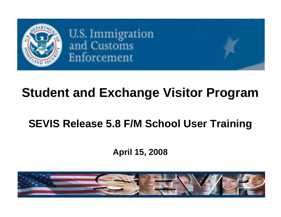

**U.S. Immigration** and Customs Enforcement

# **Student and Exchange Visitor Program**

# **SEVIS Release 5.8 F/M School User Training**

## **April 15, 2008**

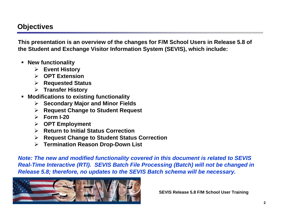### **Objectives**

**This presentation is an overview of the changes for F/M School Users in Release 5.8 of the Student and Exchange Visitor Information System (SEVIS), which include:**

- **New functionality**
	- ¾ **Event History**
	- ¾ **OPT Extension**
	- ¾ **Requested Status**
	- ¾ **Transfer History**
- **Modifications to existing functionality**
	- ¾ **Secondary Major and Minor Fields**
	- ¾ **Request Change to Student Request**
	- ¾ **Form I-20**
	- ¾ **OPT Employment**
	- ¾ **Return to Initial Status Correction**
	- ¾ **Request Change to Student Status Correction**
	- ¾ **Termination Reason Drop-Down List**

*Note: The new and modified functionality covered in this document is related to SEVIS Real-Time Interactive (RTI). SEVIS Batch File Processing (Batch) will not be changed in Release 5.8; therefore, no updates to the SEVIS Batch schema will be necessary.*

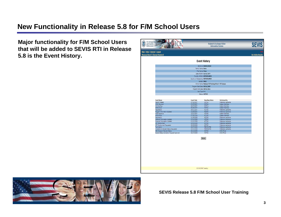#### **New Functionality in Release 5.8 for F/M School Users**

**Major functionality for F/M School Users that will be added to SEVIS RTI in Release 5.8 is the Event History.**

| U.S. Immigration<br>and Customs<br><b>Enforcement</b>                            |                          | <b>Student &amp; Exchange Visitor</b><br><b>Information System</b> |                                           |                         |
|----------------------------------------------------------------------------------|--------------------------|--------------------------------------------------------------------|-------------------------------------------|-------------------------|
| <u>Iain   Help   Tutorial   Loqout</u><br><u>lessage Board   Change Password</u> |                          |                                                                    |                                           | <b>Get Adobe Reader</b> |
|                                                                                  |                          | <b>Event History</b>                                               |                                           |                         |
|                                                                                  |                          | SEVIS ID: N0000150529                                              |                                           |                         |
|                                                                                  |                          | Family Name: Sevis                                                 |                                           |                         |
|                                                                                  |                          | First Name: Hines                                                  |                                           |                         |
|                                                                                  |                          | Date of Birth: 01/01/1977                                          |                                           |                         |
|                                                                                  |                          | Country of Birth: NETHERLANDS                                      |                                           |                         |
|                                                                                  |                          | Country of Citizenship: NETHERLANDS                                |                                           |                         |
|                                                                                  |                          | Gender: MALE                                                       |                                           |                         |
|                                                                                  |                          | School Name: Release 5.8 Training School - DC Campus               |                                           |                         |
|                                                                                  |                          | Program Start Date: 09/01/2007                                     |                                           |                         |
|                                                                                  |                          | Program End Date: 09/01/2011                                       |                                           |                         |
|                                                                                  |                          | Visa Type: F-1                                                     |                                           |                         |
|                                                                                  |                          | Status: ACTIVE                                                     |                                           |                         |
|                                                                                  |                          |                                                                    |                                           |                         |
| <b>Event Name</b>                                                                | <b>Event Date</b>        | <b>Resulting Status</b>                                            | <b>Performed By</b>                       |                         |
| Record Created                                                                   | 07/02/2007               | INITIAL                                                            | Firstname Lastname                        |                         |
| I-901 Payment                                                                    | 07/27/2007               | <b>INITIAL</b>                                                     | System Interface                          |                         |
| NIV Interface<br><b>ADIS Arrival</b>                                             | 08/07/2007<br>08/29/2007 | <b>INITIAL</b><br>INITIAL                                          | System Interface<br>System Interface      |                         |
| Registration                                                                     | 09/01/2007               | <b>ACTIVE</b>                                                      | Firstname Lastname                        |                         |
| Program Information Updated                                                      | 10/29/2007               | <b>ACTIVE</b>                                                      | Firstname Lastname                        |                         |
| <b>ADIS Departure</b>                                                            | 12/21/2007               | <b>ACTIVE</b>                                                      | System Interface                          |                         |
| <b>ADIS Arrival</b>                                                              | 01/06/2008               | <b>ACTIVE</b>                                                      | System Interface                          |                         |
| Registration<br>Personal Information Updated                                     | 01/09/2008<br>01/31/2008 | <b>ACTIVE</b><br><b>ACTIVE</b>                                     | Firstname Lastname<br>Firstname Lastname  |                         |
| <b>Financial Information Updated</b>                                             | 01/31/2008               | <b>ACTIVE</b>                                                      | Firstname Lastname                        |                         |
| <b>OPT Employment</b>                                                            | 03/03/2008               | <b>ACTIVE</b>                                                      | Firstname Lastname                        |                         |
| OPT Employment Requested                                                         | 03/03/2008               | <b>ACTIVE</b>                                                      | Firstname Lastname                        |                         |
| Termination                                                                      | 03/07/2008               | TERMINATED                                                         | Firstname Lastname                        |                         |
| Correction to Student Status Requested<br>ISS Change of Student Status           | 03/10/2008<br>03/10/2008 | TERMINATED<br><b>ACTIVE</b>                                        | Firstname Lastname<br><b>DHS Official</b> |                         |
| Student Status Correction Request Approved                                       | 03/17/2008               | <b>ACTIVE</b>                                                      | <b>DHS Official</b>                       |                         |
|                                                                                  |                          | Return                                                             |                                           |                         |
|                                                                                  |                          | 03/18/2008 (Tuesday)                                               |                                           |                         |

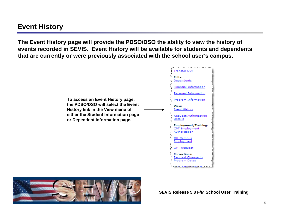**The Event History page will provide the PDSO/DSO the ability to view the history of events recorded in SEVIS. Event History will be available for students and dependents that are currently or were previously associated with the school user's campus.**



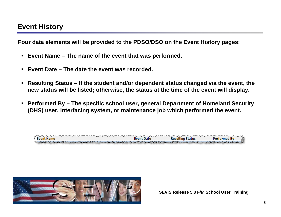**Four data elements will be provided to the PDSO/DSO on the Event History pages:**

- **Event Name – The name of the event that was performed.**
- **Event Date – The date the event was recorded.**
- **Resulting Status – If the student and/or dependent status changed via the event, the new status will be listed; otherwise, the status at the time of the event will display.**
- **Performed By – The specific school user, general Department of Homeland Security (DHS) user, interfacing system, or maintenance job which performed the event.**

| アメリカン アルティアルティアンディア アール・ソフト アール・アール ファイン・コント アイアイアー・アール アールアール ファイト・アール アール・アール アール・アール クリー・アール アール・アール アール・アール アール・アール |                   |                         |                   |
|-------------------------------------------------------------------------------------------------------------------------|-------------------|-------------------------|-------------------|
| <b>Event Name</b>                                                                                                       | <b>Event Date</b> | <b>Resulting Status</b> | л<br>Performed By |
|                                                                                                                         |                   |                         |                   |

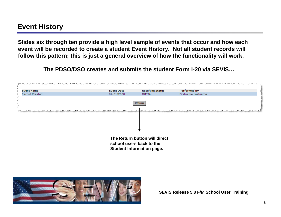**Slides six through ten provide a high level sample of events that occur and how each event will be recorded to create a student Event History. Not all student records will follow this pattern; this is just a general overview of how the functionality will work.**

**The PDSO/DSO creates and submits the student Form I-20 via SEVIS…**



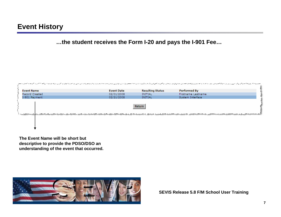**…the student receives the Form I-20 and pays the I-901 Fee…**

|                   |                   |                         | man and which we are all and which we are all and which was a subsequented and and and which we are a sense which we are not as a subsequented and and the property of the property of the sense of the sense of the sense of |
|-------------------|-------------------|-------------------------|-------------------------------------------------------------------------------------------------------------------------------------------------------------------------------------------------------------------------------|
| <b>Event Name</b> | <b>Event Date</b> | <b>Resulting Status</b> | Performed By                                                                                                                                                                                                                  |
| Record Created    | 02/01/2008        | INITIAL                 | Firstname Lastname                                                                                                                                                                                                            |
| I-901 Payment     | 02/21/2008        | INITIAL                 | System Interface                                                                                                                                                                                                              |
|                   |                   | Return                  | <u>. Calimato ala alam kama salah masili masa maka akat akat alam aka kamama kan amalak sana aka aka katan a mana aka a sana a sa aka a sana a sa aka</u>                                                                     |
|                   |                   |                         |                                                                                                                                                                                                                               |

**The Event Name will be short but descriptive to provide the PDSO/DSO an understanding of the event that occurred.**

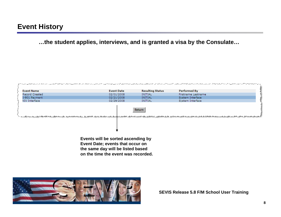**…the student applies, interviews, and is granted a visa by the Consulate…**



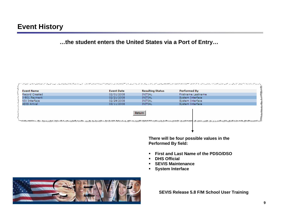**…the student enters the United States via a Port of Entry…**

| <b>Event Name</b> | <b>Event Date</b> | <b>Resulting Status</b> | Performed By                                                                                                                                                                                                                         |
|-------------------|-------------------|-------------------------|--------------------------------------------------------------------------------------------------------------------------------------------------------------------------------------------------------------------------------------|
| Record Created    | 02/01/2008        | INITIAL                 | Firstname Lastname                                                                                                                                                                                                                   |
| I-901 Payment     | 02/21/2008        | INITIAL                 | System Interface                                                                                                                                                                                                                     |
| NIV Interface     | 02/29/2008        | INITIAL                 | System Interface                                                                                                                                                                                                                     |
| ADIS Arrival      | 03/11/2008        | INITIAL                 | System Interface                                                                                                                                                                                                                     |
|                   |                   | Return                  | <u>ind Command and the contraction of the communication of the communication of the communication of the communication of the communication of the communication of the communication of the communication of the communication </u> |

**There will be four possible values in the Performed By field:**

- **First and Last Name of the PDSO/DSO**
- **DHS Official**
- $\blacksquare$ **SEVIS Maintenance**
- $\blacksquare$ **System Interface**

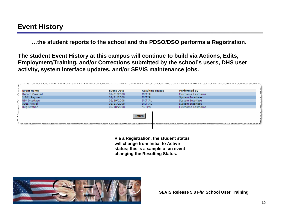**…the student reports to the school and the PDSO/DSO performs a Registration.**

**The student Event History at this campus will continue to build via Actions, Edits, Employment/Training, and/or Corrections submitted by the school's users, DHS user activity, system interface updates, and/or SEVIS maintenance jobs.**



**Via a Registration, the student status will change from Initial to Active status; this is a sample of an event changing the Resulting Status.**

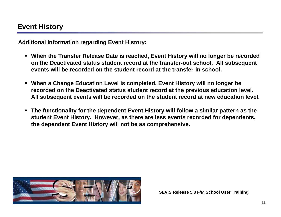**Additional information regarding Event History:**

- **When the Transfer Release Date is reached, Event History will no longer be recorded on the Deactivated status student record at the transfer-out school. All subsequent events will be recorded on the student record at the transfer-in school.**
- **When a Change Education Level is completed, Event History will no longer be recorded on the Deactivated status student record at the previous education level. All subsequent events will be recorded on the student record at new education level.**
- **The functionality for the dependent Event History will follow a similar pattern as the student Event History. However, as there are less events recorded for dependents, the dependent Event History will not be as comprehensive.**

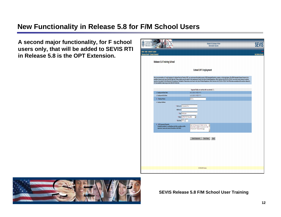#### **New Functionality in Release 5.8 for F/M School Users**

**A second major functionality, for F school users only, that will be added to SEVIS RTI in Release 5.8 is the OPT Extension.**

| U.S. Immigration<br>and Customs<br>Enforcement                     |                                                                                                                                                                  |                                                                                                                            |                                                                                                                                                       | <b>Student &amp; Exchange Visitor</b><br><b>Information System</b>                                                                                                                                                                                                                                                                                                                                                                                                                                                                                                                                                                                                                            | <b>SEVIS</b>            |
|--------------------------------------------------------------------|------------------------------------------------------------------------------------------------------------------------------------------------------------------|----------------------------------------------------------------------------------------------------------------------------|-------------------------------------------------------------------------------------------------------------------------------------------------------|-----------------------------------------------------------------------------------------------------------------------------------------------------------------------------------------------------------------------------------------------------------------------------------------------------------------------------------------------------------------------------------------------------------------------------------------------------------------------------------------------------------------------------------------------------------------------------------------------------------------------------------------------------------------------------------------------|-------------------------|
| Main   Help   Tutorial   Logout<br>Message Board   Change Password |                                                                                                                                                                  |                                                                                                                            |                                                                                                                                                       |                                                                                                                                                                                                                                                                                                                                                                                                                                                                                                                                                                                                                                                                                               | <b>Get Adobe Reader</b> |
|                                                                    | Release 5.8 Training School                                                                                                                                      |                                                                                                                            |                                                                                                                                                       |                                                                                                                                                                                                                                                                                                                                                                                                                                                                                                                                                                                                                                                                                               |                         |
|                                                                    |                                                                                                                                                                  |                                                                                                                            | <b>Extend OPT Employment</b>                                                                                                                          |                                                                                                                                                                                                                                                                                                                                                                                                                                                                                                                                                                                                                                                                                               |                         |
|                                                                    | OPT are available at www.ice.gov/sevis (the SEVP Web site).                                                                                                      |                                                                                                                            |                                                                                                                                                       | Prior to recommending a 17-month extension for Optional Practical Training (OPT), you must ensure the student earned a STEM designated bachelors, masters, or doctorate degree. The STEM Designated Degree Program List is<br>available at www.ice.gov/sevis (the SEVP Web site). These students are also subject to the requirements found in the Code of Federal Regulations, Title 8, Sections 214.2(f)(10) to (f)(13). Your school must continue to main<br>records on the student for the full period of the extension. The details of these rules can be found in the Code of Federal Regulations, Title 8, Sections 214.2(f)(10) to (f)(13). The CFR has been amended and the sections |                         |
|                                                                    |                                                                                                                                                                  |                                                                                                                            |                                                                                                                                                       |                                                                                                                                                                                                                                                                                                                                                                                                                                                                                                                                                                                                                                                                                               |                         |
|                                                                    | 1. Employment Start Date:                                                                                                                                        |                                                                                                                            | Required fields are marked with an asterisk (*).<br>06/01/2008 (MM/DD/YYYY)                                                                           |                                                                                                                                                                                                                                                                                                                                                                                                                                                                                                                                                                                                                                                                                               |                         |
|                                                                    | 2. Employment End Date:                                                                                                                                          |                                                                                                                            | 11/01/2009 (MM/DD/YYYY)                                                                                                                               |                                                                                                                                                                                                                                                                                                                                                                                                                                                                                                                                                                                                                                                                                               |                         |
|                                                                    | 3. * Employer Name:                                                                                                                                              |                                                                                                                            | <b>JEC Inc.</b>                                                                                                                                       |                                                                                                                                                                                                                                                                                                                                                                                                                                                                                                                                                                                                                                                                                               |                         |
|                                                                    | 4. Employer Address:                                                                                                                                             |                                                                                                                            |                                                                                                                                                       |                                                                                                                                                                                                                                                                                                                                                                                                                                                                                                                                                                                                                                                                                               |                         |
|                                                                    | 5. * OPT Comments/Remarks:<br>(Include the student's e-mail address; job title or position; and the<br>supervisor's name and contact information in this field.) | * Address 1: 1 Corporate Drive<br>Address 2:<br>* City: Washington<br>* State: DISTRICT OF COLUMBIA<br>* Zip Code: 20001 - | $\overline{\phantom{a}}$<br>Data from the required "Explain how the<br>employment is related to course work" field<br>on the Add OPT Employment page. | A                                                                                                                                                                                                                                                                                                                                                                                                                                                                                                                                                                                                                                                                                             |                         |
|                                                                    |                                                                                                                                                                  |                                                                                                                            | <b>Extend Employment</b>                                                                                                                              | <b>Reset Values</b><br>Cancel                                                                                                                                                                                                                                                                                                                                                                                                                                                                                                                                                                                                                                                                 |                         |
|                                                                    |                                                                                                                                                                  |                                                                                                                            | 04/06/2008 (Sunday)                                                                                                                                   |                                                                                                                                                                                                                                                                                                                                                                                                                                                                                                                                                                                                                                                                                               |                         |
|                                                                    |                                                                                                                                                                  |                                                                                                                            |                                                                                                                                                       |                                                                                                                                                                                                                                                                                                                                                                                                                                                                                                                                                                                                                                                                                               |                         |

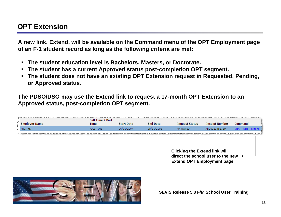#### **OPT Extension**

**A new link, Extend, will be available on the Command menu of the OPT Employment page of an F-1 student record as long as the following criteria are met:**

- **The student education level is Bachelors, Masters, or Doctorate.**
- **The student has a current Approved status post-completion OPT segment.**
- **The student does not have an existing OPT Extension request in Requested, Pending, or Approved status.**

**The PDSO/DSO may use the Extend link to request a 17-month OPT Extension to an Approved status, post-completion OPT segment.**

| <b>Employer Name</b> | army and was a strategy and a strategy and the strategy of the strategy and and the strategy and are all strategy and assume that the strategy of the strategy of the strategy of the strategy of the strategy of the strategy<br><b>Full Time / Part</b><br>Time | <b>Start Date</b> | <b>End Date</b> | <b>Request Status</b>                | <b>Receipt Number</b> | <b>Command</b> |                         |
|----------------------|-------------------------------------------------------------------------------------------------------------------------------------------------------------------------------------------------------------------------------------------------------------------|-------------------|-----------------|--------------------------------------|-----------------------|----------------|-------------------------|
|                      |                                                                                                                                                                                                                                                                   |                   |                 |                                      |                       |                |                         |
| ABC Inc.             | <b>FULL TIME</b>                                                                                                                                                                                                                                                  | 06/01/2007        | 05/31/2008      | <b>APPROVED</b>                      | ABC0123456789         |                | <u>View Edit Extend</u> |
|                      |                                                                                                                                                                                                                                                                   |                   |                 |                                      |                       |                |                         |
|                      |                                                                                                                                                                                                                                                                   |                   |                 |                                      |                       |                |                         |
|                      |                                                                                                                                                                                                                                                                   |                   |                 |                                      |                       |                |                         |
|                      |                                                                                                                                                                                                                                                                   |                   |                 |                                      |                       |                |                         |
|                      |                                                                                                                                                                                                                                                                   |                   |                 | <b>Clicking the Extend link will</b> |                       |                |                         |
|                      |                                                                                                                                                                                                                                                                   |                   |                 |                                      |                       |                |                         |
|                      |                                                                                                                                                                                                                                                                   |                   |                 | direct the school user to the new    |                       |                |                         |
|                      |                                                                                                                                                                                                                                                                   |                   |                 | <b>Extend OPT Employment page.</b>   |                       |                |                         |
|                      |                                                                                                                                                                                                                                                                   |                   |                 |                                      |                       |                |                         |
|                      |                                                                                                                                                                                                                                                                   |                   |                 |                                      |                       |                |                         |

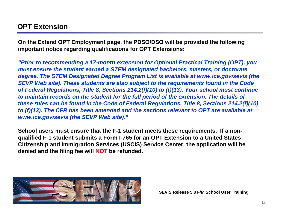#### **OPT Extension**

**On the Extend OPT Employment page, the PDSO/DSO will be provided the following important notice regarding qualifications for OPT Extensions:**

*"Prior to recommending a 17-month extension for Optional Practical Training (OPT), you must ensure the student earned a STEM designated bachelors, masters, or doctorate degree. The STEM Designated Degree Program List is available at www.ice.gov/sevis (the SEVP Web site). These students are also subject to the requirements found in the Code of Federal Regulations, Title 8, Sections 214.2(f)(10) to (f)(13). Your school must continue to maintain records on the student for the full period of the extension. The details of these rules can be found in the Code of Federal Regulations, Title 8, Sections 214.2(f)(10) to (f)(13). The CFR has been amended and the sections relevant to OPT are available at www.ice.gov/sevis (the SEVP Web site)."*

**School users must ensure that the F-1 student meets these requirements. If a nonqualified F-1 student submits a Form I-765 for an OPT Extension to a United States Citizenship and Immigration Services (USCIS) Service Center, the application will be denied and the filing fee will NOT be refunded.**

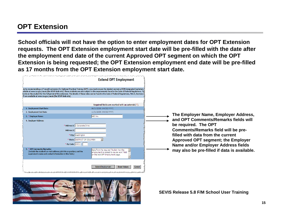#### **OPT Extension**

**School officials will not have the option to enter employment dates for OPT Extension requests. The OPT Extension employment start date will be pre-filled with the date after the employment end date of the current Approved OPT segment on which the OPT Extension is being requested; the OPT Extension employment end date will be pre-filled as 17 months from the OPT Extension employment start date.**

| والمواضحون وبالمتواجه والمسترد والمستعمل والمستراد والمستوليات المرادي والمستريان والمرادي والمستور والمستور والمستور والمستورد والمستور والمستورد والمستور والمستورد والمستور والمستور والمستور والمستور والمستور والمستور وا                                                                                                                                                                                                                                                                                                                      |                                                                                                                            | <b>Extend OPT Employment</b>                                                                                                                          |                               |                                                                                                                                                                                                                              |
|-----------------------------------------------------------------------------------------------------------------------------------------------------------------------------------------------------------------------------------------------------------------------------------------------------------------------------------------------------------------------------------------------------------------------------------------------------------------------------------------------------------------------------------------------------|----------------------------------------------------------------------------------------------------------------------------|-------------------------------------------------------------------------------------------------------------------------------------------------------|-------------------------------|------------------------------------------------------------------------------------------------------------------------------------------------------------------------------------------------------------------------------|
| or to recommending a 17-month extension for Optional Practical Training (OPT), you must ensure the student earned a STEM designated bachelors,<br>ailable at www.ice.gov/sevis (the SEVP Web site). These students are also subject to the requirements found in the Code of Federal Requlations, Tit<br>cords on the student for the full period of the extension. The details of these rules can be found in the Code of Federal Regulations, Title 8, Sections $\it i$<br><sup>)</sup> T are available at www.ice.gov/sevis (the SEVP Web site). |                                                                                                                            |                                                                                                                                                       |                               |                                                                                                                                                                                                                              |
|                                                                                                                                                                                                                                                                                                                                                                                                                                                                                                                                                     |                                                                                                                            | Required fields are marked with an asterisk (*).                                                                                                      |                               |                                                                                                                                                                                                                              |
| 1. Employment Start Date:<br>2. Employment End Date:                                                                                                                                                                                                                                                                                                                                                                                                                                                                                                |                                                                                                                            | 06/01/2008 (MM/DD/YYYY)<br>11/01/2009 (MM/DD/YYYY)                                                                                                    |                               |                                                                                                                                                                                                                              |
| 3. * Employer Name:                                                                                                                                                                                                                                                                                                                                                                                                                                                                                                                                 |                                                                                                                            | ABC Inc.                                                                                                                                              |                               | The Employer Name, Employer Address,                                                                                                                                                                                         |
| 4. Employer Address:                                                                                                                                                                                                                                                                                                                                                                                                                                                                                                                                | * Address 1: 1 Corporate Drive<br>Address 2:<br>* City: Washington<br>* State: DISTRICT OF COLUMBIA<br>* Zip Code: 20001 - |                                                                                                                                                       |                               | and OPT Comments/Remarks fields will<br>be required. The OPT<br>Comments/Remarks field will be pre-<br>filled with data from the current<br><b>Approved OPT segment; the Employer</b><br>Name and/or Employer Address fields |
| 5. * OPT Comments/Remarks:<br>(Include the student's e-mail address; job title or position; and the<br>supervisor's name and contact information in this field.)                                                                                                                                                                                                                                                                                                                                                                                    |                                                                                                                            | Data from the required "Explain how the<br>employment is related to course work" field<br>on the Add OPT Employment page.<br><b>Extend Employment</b> | <b>Reset Values</b><br>Cancel | may also be pre-filled if data is available.                                                                                                                                                                                 |
|                                                                                                                                                                                                                                                                                                                                                                                                                                                                                                                                                     | نگال کے معصوم ریاستان پر رواں کا مناقب کا راجعہ رکھتا ہے۔ اس کا روز پھیلان رکھا کا مقصصہ ریاستان کے ساتھ مقصد پ            |                                                                                                                                                       |                               |                                                                                                                                                                                                                              |

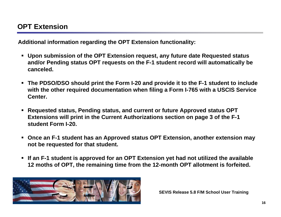**Additional information regarding the OPT Extension functionality:**

- **Upon submission of the OPT Extension request, any future date Requested status and/or Pending status OPT requests on the F-1 student record will automatically be canceled.**
- **The PDSO/DSO should print the Form I-20 and provide it to the F-1 student to include with the other required documentation when filing a Form I-765 with a USCIS Service Center.**
- **Requested status, Pending status, and current or future Approved status OPT Extensions will print in the Current Authorizations section on page 3 of the F-1 student Form I-20.**
- **Once an F-1 student has an Approved status OPT Extension, another extension may not be requested for that student.**
- **If an F-1 student is approved for an OPT Extension yet had not utilized the available 12 moths of OPT, the remaining time from the 12-month OPT allotment is forfeited.**

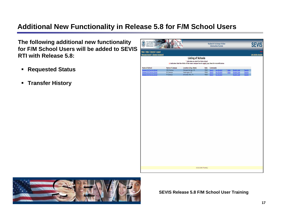### **Additional New Functionality in Release 5.8 for F/M School Users**

**The following additional new functionality for F/M School Users will be added to SEVIS RTI with Release 5.8:**

- **Requested Status**
- **Transfer History**

| U.S. Immigration<br>Ω<br>Enforcement                                                      |                                      |                                                                                                                                                             |                      |                            | <b>Student &amp; Exchange Visitor</b><br><b>Information System</b> |                      |                                                               |                               | <b>SEVIS</b>            |
|-------------------------------------------------------------------------------------------|--------------------------------------|-------------------------------------------------------------------------------------------------------------------------------------------------------------|----------------------|----------------------------|--------------------------------------------------------------------|----------------------|---------------------------------------------------------------|-------------------------------|-------------------------|
| Main   Help   Tutorial   Logout<br>Message Board   Change Password                        |                                      |                                                                                                                                                             |                      |                            |                                                                    |                      |                                                               |                               | <b>Get Adobe Reader</b> |
|                                                                                           |                                      | <b>Listing of Schools</b><br>* Indicates an alert for that school<br>@ Indicates that the PDSO of the main campus has to apply/pay fees for recertification |                      |                            |                                                                    |                      |                                                               |                               |                         |
| Release 5.8 Training School<br>Release 5.8 Training School<br>Release 5.8 Training School | COS Campus<br>DC Campus<br>PA Campus | Colorado Springs, CO<br>Washington, DC<br>University Park, PA                                                                                               | PDSO<br>PDSO<br>PDSO | Search<br>Search<br>Search | <b>New Student</b><br><b>New Student</b><br><b>New Student</b>     | * Alerts<br>* Alerts | <b>Student Lists</b><br>Student Lists<br><b>Student Lists</b> | Reports<br>Reports<br>Reports |                         |
|                                                                                           |                                      | 03/20/2008 (Thursday)                                                                                                                                       |                      |                            |                                                                    |                      |                                                               |                               |                         |

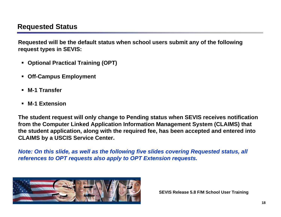**Requested will be the default status when school users submit any of the following request types in SEVIS:**

- **Optional Practical Training (OPT)**
- $\blacksquare$ **Off-Campus Employment**
- **M-1 Transfer**
- **M-1 Extension**

**The student request will only change to Pending status when SEVIS receives notification from the Computer Linked Application Information Management System (CLAIMS) that the student application, along with the required fee, has been accepted and entered into CLAIMS by a USCIS Service Center.**

*Note: On this slide, as well as the following five slides covering Requested status, all references to OPT requests also apply to OPT Extension requests.*

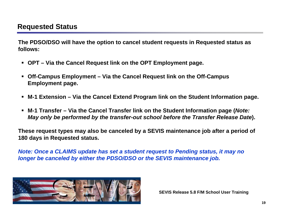**The PDSO/DSO will have the option to cancel student requests in Requested status as follows:**

- **OPT – Via the Cancel Request link on the OPT Employment page.**
- $\blacksquare$  **Off-Campus Employment – Via the Cancel Request link on the Off-Campus Employment page.**
- $\blacksquare$ **M-1 Extension – Via the Cancel Extend Program link on the Student Information page.**
- **M-1 Transfer – Via the Cancel Transfer link on the Student Information page (***Note: May only be performed by the transfer-out school before the Transfer Release Date***).**

**These request types may also be canceled by a SEVIS maintenance job after a period of 180 days in Requested status.**

*Note: Once a CLAIMS update has set a student request to Pending status, it may no longer be canceled by either the PDSO/DSO or the SEVIS maintenance job.*

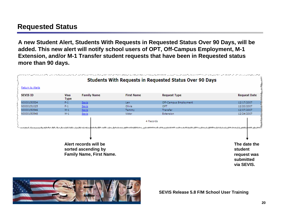**A new Student Alert, Students With Requests in Requested Status Over 90 Days, will be added. This new alert will notify school users of OPT, Off-Campus Employment, M-1 Extension, and/or M-1 Transfer student requests that have been in Requested status more than 90 days.**

|                  |                     |                                                                        |                   | <b>Students With Requests in Requested Status Over 90 Days</b> |                         |
|------------------|---------------------|------------------------------------------------------------------------|-------------------|----------------------------------------------------------------|-------------------------|
| Return to Alerts |                     |                                                                        |                   |                                                                |                         |
| <b>SEVIS ID</b>  | Visa<br><b>Type</b> | <b>Family Name</b>                                                     | <b>First Name</b> | <b>Request Type</b>                                            | <b>Request Date</b>     |
| N0000150534      | $F-1$               | Sevis                                                                  | Len.              | Off-Campus Employment                                          | 12/17/2007              |
| N0000151025      | $F-1$               | Sevis                                                                  | Olivia            | OPT                                                            | 12/20/2007              |
| N0000150546      | $M-1$               | Sevis:                                                                 | Tammy             | Transfer                                                       | 12/07/2007              |
| N0000150548      | $M-1$               | Sevis                                                                  | Victor            | Extension                                                      | 12/24/2007              |
|                  |                     | <u>، کاٹھ کے حکاظ کے کہ کوئی میں کہتے گئے جس کے لیے بھی کہ کوئی جو</u> |                   |                                                                |                         |
|                  |                     | Alert records will be<br>sorted ascending by                           |                   |                                                                | The date the<br>student |

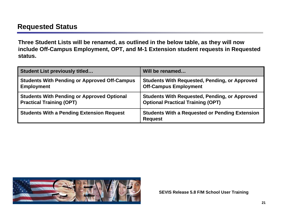**Three Student Lists will be renamed, as outlined in the below table, as they will now include Off-Campus Employment, OPT, and M-1 Extension student requests in Requested status.**

| <b>Student List previously titled</b>               | Will be renamed                                                         |
|-----------------------------------------------------|-------------------------------------------------------------------------|
| <b>Students With Pending or Approved Off-Campus</b> | <b>Students With Requested, Pending, or Approved</b>                    |
| <b>Employment</b>                                   | <b>Off-Campus Employment</b>                                            |
| <b>Students With Pending or Approved Optional</b>   | <b>Students With Requested, Pending, or Approved</b>                    |
| <b>Practical Training (OPT)</b>                     | <b>Optional Practical Training (OPT)</b>                                |
| <b>Students With a Pending Extension Request</b>    | <b>Students With a Requested or Pending Extension</b><br><b>Request</b> |

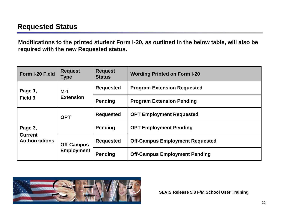**Modifications to the printed student Form I-20, as outlined in the below table, will also be required with the new Requested status.**

| Form I-20 Field                         | <b>Request</b><br><b>Type</b> | <b>Request</b><br><b>Status</b>       | <b>Wording Printed on Form I-20</b>  |                                        |
|-----------------------------------------|-------------------------------|---------------------------------------|--------------------------------------|----------------------------------------|
| Page 1,                                 | $M-1$                         | <b>Requested</b>                      | <b>Program Extension Requested</b>   |                                        |
| Field 3                                 | <b>Extension</b>              | <b>Pending</b>                        | <b>Program Extension Pending</b>     |                                        |
|                                         | <b>OPT</b>                    | <b>Requested</b>                      | <b>OPT Employment Requested</b>      |                                        |
| Page 3,                                 |                               | <b>Pending</b>                        | <b>OPT Employment Pending</b>        |                                        |
| <b>Current</b><br><b>Authorizations</b> |                               | <b>Requested</b><br><b>Off-Campus</b> |                                      | <b>Off-Campus Employment Requested</b> |
|                                         | <b>Employment</b>             | <b>Pending</b>                        | <b>Off-Campus Employment Pending</b> |                                        |

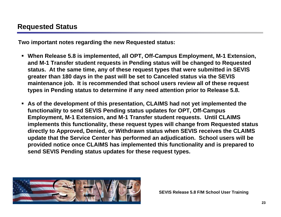**Two important notes regarding the new Requested status:**

- **When Release 5.8 is implemented, all OPT, Off-Campus Employment, M-1 Extension, and M-1 Transfer student requests in Pending status will be changed to Requested status. At the same time, any of these request types that were submitted in SEVIS greater than 180 days in the past will be set to Canceled status via the SEVIS maintenance job. It is recommended that school users review all of these request types in Pending status to determine if any need attention prior to Release 5.8.**
- **As of the development of this presentation, CLAIMS had not yet implemented the functionality to send SEVIS Pending status updates for OPT, Off-Campus Employment, M-1 Extension, and M-1 Transfer student requests. Until CLAIMS implements this functionality, these request types will change from Requested status directly to Approved, Denied, or Withdrawn status when SEVIS receives the CLAIMS update that the Service Center has performed an adjudication. School users will be provided notice once CLAIMS has implemented this functionality and is prepared to send SEVIS Pending status updates for these request types.**

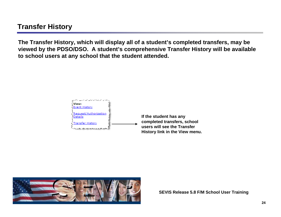#### **Transfer History**

**The Transfer History, which will display all of a student's completed transfers, may be viewed by the PDSO/DSO. A student's comprehensive Transfer History will be available to school users at any school that the student attended.**



**If the student has any completed transfers, school users will see the Transfer History link in the View menu.**

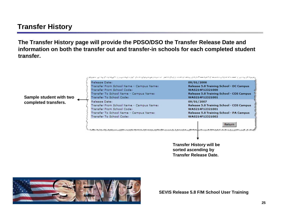#### **Transfer History**

**The Transfer History page will provide the PDSO/DSO the Transfer Release Date and information on both the transfer out and transfer-in schools for each completed student transfer.**



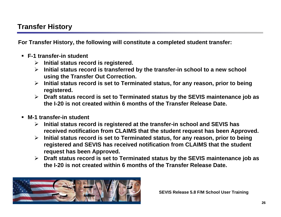#### **Transfer History**

**For Transfer History, the following will constitute a completed student transfer:**

- **F-1 transfer-in student**
	- ¾ **Initial status record is registered.**
	- ¾ **Initial status record is transferred by the transfer-in school to a new school using the Transfer Out Correction.**
	- ¾ **Initial status record is set to Terminated status, for any reason, prior to being registered.**
	- ¾ **Draft status record is set to Terminated status by the SEVIS maintenance job as the I-20 is not created within 6 months of the Transfer Release Date.**
- **M-1 transfer-in student**
	- ¾ **Initial status record is registered at the transfer-in school and SEVIS has received notification from CLAIMS that the student request has been Approved.**
	- ¾ **Initial status record is set to Terminated status, for any reason, prior to being registered and SEVIS has received notification from CLAIMS that the student request has been Approved.**
	- ¾ **Draft status record is set to Terminated status by the SEVIS maintenance job as the I-20 is not created within 6 months of the Transfer Release Date.**

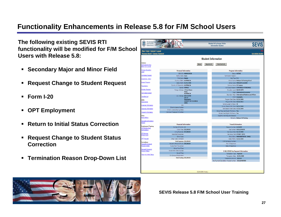#### **Functionality Enhancements in Release 5.8 for F/M School Users**

**The following existing SEVIS RTI functionality will be modified for F/M School Users with Release 5.8:**

- **Secondary Major and Minor Field**
- **Request Change to Student Request**
- **Form I-20**
- $\blacksquare$ **OPT Employment**
- **Return to Initial Status Correction**
- **Request Change to Student Status Correction**
- **Termination Reason Drop-Down List**

| U.S. Immigration<br>and Customs<br>Enforcement                            |                                           |                            | <b>Information System</b>                                      | <b>SEVIS</b>            |
|---------------------------------------------------------------------------|-------------------------------------------|----------------------------|----------------------------------------------------------------|-------------------------|
| Main   Help   Tutorial   Logout<br><b>Message Board   Change Password</b> |                                           |                            |                                                                | <b>Get Adobe Reader</b> |
|                                                                           |                                           | <b>Student Information</b> |                                                                |                         |
| <b>Actions:</b><br>Authorize To Drop<br>Below Full Course                 | <b>Return</b>                             | Reprint I-20               | Print Draft I-20                                               |                         |
| <b>Change Education</b><br>Level                                          | <b>Personal Information</b>               |                            | <b>Program Information</b>                                     |                         |
|                                                                           | SEVIS ID: N0000150538                     |                            | Status: ACTIVE                                                 |                         |
| Complete Program                                                          | Family Name: Sevis                        |                            | Termination Reason:                                            |                         |
| <b>Disciplinary Action</b>                                                | First Name: Natalie                       |                            | Visa Type: F-1                                                 |                         |
|                                                                           | Country of Birth: AUSTRALIA               |                            | School Name: Release 5.8 Training School                       |                         |
| <b>Extend Program</b>                                                     | Date of Birth: 01/01/1990                 |                            | School Code: WAS214F12321000                                   |                         |
| Registration                                                              | Country of Citizenship: AUSTRALIA         |                            | Campus Name: DC Campus                                         |                         |
| Shorten Program                                                           | Gender: FEMALE                            |                            | I-20 Issue Reason: CONTINUED ATTENDANCE                        |                         |
|                                                                           | Foreign Address: 1 Street Name<br>Home    |                            | Education Level: BACHELOR'S                                    |                         |
| Terminate Student                                                         | <b>AUSTRALIA</b>                          |                            | Major: International Economics                                 |                         |
| Transfer Out                                                              | U.S. Address: 800 K St NW                 |                            | Secondary Major: International Relations and Affairs           |                         |
|                                                                           | Unit 14                                   |                            | Minor: Geography                                               |                         |
| Edits:                                                                    | Washington<br><b>DISTRICT OF COLUMBIA</b> |                            | Program Start Date: 03/01/2008<br>Program End Date: 03/01/2012 |                         |
| Dependents                                                                | 20001                                     |                            | Normal Length of Study: 48                                     |                         |
| <b>Financial Information</b>                                              | SSN:                                      |                            | Current Session End Date: 06/01/2008                           |                         |
| Personal Information                                                      | Driver's License Number:                  |                            | Next Session Start Date: 07/01/2008                            |                         |
|                                                                           | Driver's License Issuing State:           |                            | School Requires English Proficiency: Yes                       |                         |
| Program Information                                                       | Individual Taxpayer ID Number:            |                            | Student Has English Proficiency: Yes                           |                         |
| View:                                                                     |                                           |                            | English Is Not Required Because:                               |                         |
| Event History                                                             |                                           |                            | Remarks: Release 5.8 Training                                  |                         |
| Request/Authorization<br>Details                                          | <b>Financial Information</b>              |                            | <b>Travel Information</b>                                      |                         |
| Employment/Training:                                                      | Number of Months: 12                      |                            | Passport Number: 01234567                                      |                         |
| <b>CPT Employment</b><br>Authorization                                    | <b>Tuition Fees: \$15,000.00</b>          |                            | Visa Number: AS0123456789                                      |                         |
|                                                                           | Living Expenses: \$15,000.00              |                            | Visa Issue Date: 02/15/2008                                    |                         |
| Off-Campus                                                                | Dependent Expenses:                       |                            | Visa Issue Post: SYDNEY (SYD)                                  |                         |
| Employment                                                                | Other Costs:                              |                            | Port of Entry: WASHINGTON DC (WAS)                             |                         |
| <b>OPT Request</b>                                                        | Other Costs Comment:                      |                            | Date of Entry: 03/01/2008                                      |                         |
| Corrections:                                                              | Total Expenses: \$30,000.00               |                            | 1-94/Admission Number:                                         |                         |
| <b>Request Change to</b>                                                  | Student's Personal Funds: \$50,000,00     |                            | Port of Departure:                                             |                         |
| Program Dates                                                             | Funds From This School:                   |                            | Date of Departure:                                             |                         |
| Request Change to                                                         | School Fund Type:                         |                            |                                                                |                         |
| <b>Student Status</b>                                                     | Funds From Other Sources:                 |                            | I-901 SEVIS Fee Payment Information                            |                         |
| <b>Return to Initial Status</b>                                           | Source Type:                              |                            | Transaction Type: Payment                                      |                         |
|                                                                           | On-Campus Employment:                     |                            | Transaction Date: 02/01/2008                                   |                         |
|                                                                           | Total Funding: \$50,000.00                |                            | Transaction Amount: \$100.00                                   |                         |
|                                                                           |                                           |                            | Fee Payment/Cancelation Receipt Number: CCC1234567890          |                         |
|                                                                           |                                           |                            |                                                                |                         |

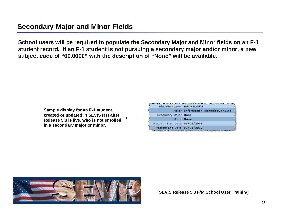#### **Secondary Major and Minor Fields**

**School users will be required to populate the Secondary Major and Minor fields on an F-1 student record. If an F-1 student is not pursuing a secondary major and/or minor, a new subject code of "00.0000" with the description of "None" will be available.** 

> **Sample display for an F-1 student, created or updated in SEVIS RTI after Release 5.8 is live, who is not enrolled in a secondary major or minor.**

| والمتعارض المراكب والكالمستان والراد والتعالى وبرائع فتتحدث الإطار الزالو المتعالم والمستقبل والمستقبل والمراكب والمتعالم والمراكب المتعالم والمستقبل والمستقبل<br><b>Education Level: BACHELOR'S</b> |
|-------------------------------------------------------------------------------------------------------------------------------------------------------------------------------------------------------|
| Major: Information Technology (NEW)                                                                                                                                                                   |
| Secondary Major: None                                                                                                                                                                                 |
| Minor: None                                                                                                                                                                                           |
| Program Start Date: 03/01/2008                                                                                                                                                                        |
| Program End Date: 03/01/2012<br>والمستقرح والمستورث والمستحق والمتعارض والمستحقق والمستحيل والمتعارض والمتعارض والمتعارض والمستحقق والمستحققات                                                        |

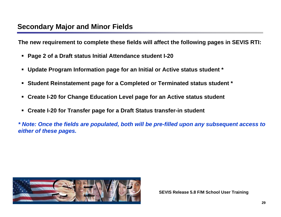**The new requirement to complete these fields will affect the following pages in SEVIS RTI:**

- $\blacksquare$ **Page 2 of a Draft status Initial Attendance student I-20**
- $\blacksquare$ **Update Program Information page for an Initial or Active status student \***
- $\blacksquare$ **Student Reinstatement page for a Completed or Terminated status student \***
- $\blacksquare$ **Create I-20 for Change Education Level page for an Active status student**
- **Create I-20 for Transfer page for a Draft Status transfer-in student**

*\* Note: Once the fields are populated, both will be pre-filled upon any subsequent access to either of these pages.*

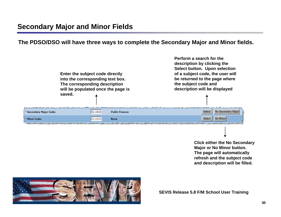**The PDSO/DSO will have three ways to complete the Secondary Major and Minor fields.**



**Click either the No Secondary Major or No Minor button. The page will automatically refresh and the subject code and description will be filled.**

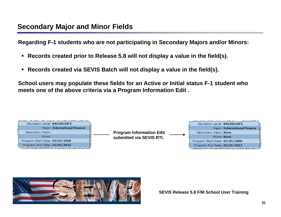**Regarding F-1 students who are not participating in Secondary Majors and/or Minors:**

- **Records created prior to Release 5.8 will not display a value in the field(s).**
- $\blacksquare$ **Records created via SEVIS Batch will not display a value in the field(s).**

**School users may populate these fields for an Active or Initial status F-1 student who meets one of the above criteria via a Program Information Edit .**



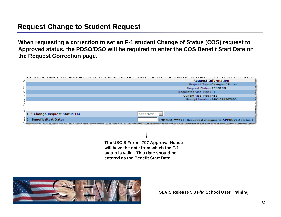#### **Request Change to Student Request**

**When requesting a correction to set an F-1 student Change of Status (COS) request to Approved status, the PDSO/DSO will be required to enter the COS Benefit Start Date on the Request Correction page.** 

|                                | <b>Request Information</b>                                                                                                                                  |
|--------------------------------|-------------------------------------------------------------------------------------------------------------------------------------------------------------|
|                                | Request Type: Change of Status                                                                                                                              |
|                                | Request Status: PENDING                                                                                                                                     |
|                                | Requested Visa Type: F1                                                                                                                                     |
|                                | Current Visa Type: H1B                                                                                                                                      |
|                                | Receipt Number: ABC1234567890                                                                                                                               |
|                                |                                                                                                                                                             |
| 1. * Change Request Status To: | <b>APPROVED</b>                                                                                                                                             |
| 2. Benefit Start Date:         | (MM/DD/YYYY) (Required if changing to APPROVED status.)                                                                                                     |
|                                | கூறியில்லத்திற்கு கலைவருக்கின்ற வித்திர இலக்கிடத்திகள் புது விருந்தகின்றது. மேரும்மி திரிவு இருந்து அதை ஆண்ணியின்                                           |
|                                |                                                                                                                                                             |
|                                | The USCIS Form I-797 Approval Notice<br>will have the date from which the F-1<br>status is valid. This date should be<br>entered as the Benefit Start Date. |

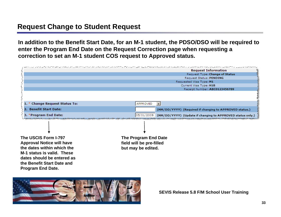#### **Request Change to Student Request**

**In addition to the Benefit Start Date, for an M-1 student, the PDSO/DSO will be required to enter the Program End Date on the Request Correction page when requesting a correction to set an M-1 student COS request to Approved status.**

|                                  | באייטרים בבין המייחות המוניקה במקום המקום מקום מקום מקום מקום מקום מייחודים מקום מקום מקום מקום מקום מייחודים מייחו |
|----------------------------------|---------------------------------------------------------------------------------------------------------------------|
|                                  | <b>Request Information</b>                                                                                          |
|                                  | Request Type: Change of Status                                                                                      |
|                                  | Request Status: PENDING                                                                                             |
|                                  | Requested Visa Type: M1                                                                                             |
|                                  | Current Visa Type: H1B<br>Receipt Number: ABC0123456789                                                             |
|                                  |                                                                                                                     |
| 1. * Change Request Status To:   | APPROVED                                                                                                            |
| 2. Benefit Start Date:           | (MM/DD/YYYY) (Required if changing to APPROVED status.)                                                             |
| 3. *Program End Date:            | 05/01/2009<br>(MM/DD/YYYY) (Update if changing to APPROVED status only.)                                            |
|                                  |                                                                                                                     |
| The USCIS Form I-797             | The Program End Date                                                                                                |
| <b>Approval Notice will have</b> | field will be pre-filled                                                                                            |
|                                  |                                                                                                                     |
| the dates within which the       | but may be edited.                                                                                                  |
| M-1 status is valid. These       |                                                                                                                     |
| dates should be entered as       |                                                                                                                     |
| the Benefit Start Date and       |                                                                                                                     |
|                                  |                                                                                                                     |
| <b>Program End Date.</b>         |                                                                                                                     |

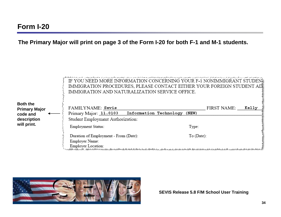**The Primary Major will print on page 3 of the Form I-20 for both F-1 and M-1 students.**



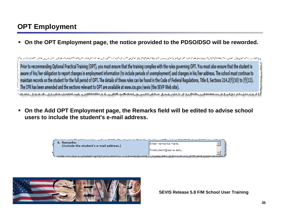## **OPT Employment**

**On the OPT Employment page, the notice provided to the PDSO/DSO will be reworded.**

mander/=Erald and all all the cost of the state of all control of the National and all properties are the control of the all control of the all control of the all control of the state of the state of the state of the state Prior to recommending Optional Practical Training (OPT), you must ensure that the training complies with the rules governing OPT. You must also ensure that the student is aware of his/her obligation to report changes in employment information (to include periods of unemployment) and changes in his/her address. The school must continue to maintain records on the student for the full period of OPT. The details of these rules can be found in the Code of Federal Regulations, Title 8, Sections 214.2(f)(10) to (f)(13). The CFR has been amended and the sections relevant to OPT are available at www.ice.gov/sevis (the SEVP Web site).

 **On the Add OPT Employment page, the Remarks field will be edited to advise school users to include the student's e-mail address.**

<u>ی د خواست دی است دارد و است و مدی می شود است. به این است و است است است است است و است و است و است است و است است</u>



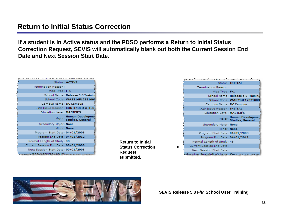#### **Return to Initial Status Correction**

**If a student is in Active status and the PDSO performs a Return to Initial Status Correction Request, SEVIS will automatically blank out both the Current Session End Date and Next Session Start Date.**



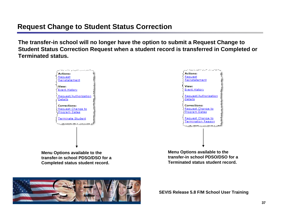#### **Request Change to Student Status Correction**

**The transfer-in school will no longer have the option to submit a Request Change to Student Status Correction Request when a student record is transferred in Completed or Terminated status.**



**transfer-in school PDSO/DSO for a Completed status student record.**

**transfer-in school PDSO/DSO for a Terminated status student record.**

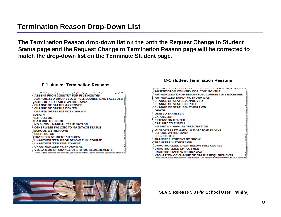#### **Termination Reason Drop-Down List**

**The Termination Reason drop-down list on the both the Request Change to Student Status page and the Request Change to Termination Reason page will be corrected to match the drop-down list on the Terminate Student page.**

| أيوص والأساسيس ويخرسني ومستولة والمستبرد والمتوارد والمتورد والمستور المتعارض والمستراحية والمسترسة وردام والأميل<br><b>ABSENT FROM COUNTRY FOR FIVE MONTHS</b><br><b>AUTHORIZED DROP BELOW FULL COURSE TIME EXCEEDED</b><br><b>AUTHORIZED EARLY WITHDRAWAL</b><br><b>CHANGE OF STATUS APPROVED</b><br><b>CHANGE OF STATUS DENIED</b><br><b>CHANGE OF STATUS WITHDRAWN</b><br><b>DEATH</b> |
|--------------------------------------------------------------------------------------------------------------------------------------------------------------------------------------------------------------------------------------------------------------------------------------------------------------------------------------------------------------------------------------------|
| <b>EXPULSION</b><br><b>FAILURE TO ENROLL</b><br><b>NO SHOW - MANUAL TERMINATION</b><br>OTHERWISE FAILING TO MAINTAIN STATUS<br><b>SCHOOL WITHDRAWN</b><br><b>SUSPENSION</b>                                                                                                                                                                                                                |
| TRANSFER STUDENT NO SHOW<br>UNAUTHORIZED DROP BELOW FULL COURSE<br><b>UNAUTHORIZED EMPLOYMENT</b><br><b>DINAUTHORIZED WITHDRAWAL</b> :<br><b>OLATION OF CHANGE OF STATUS REOUIREMENTS</b>                                                                                                                                                                                                  |

#### **F-1 student Termination Reasons**

#### **M-1 student Termination Reasons**

| وتوا الأساء والأن الأسام فالميض والأساس الموالي والأراب والأصاب والمتوافق والمراسي المراسي والمراسيس والمراضل والمستقرات والمستقام والأراب<br>ABSENT FROM COUNTRY FOR FIVE MONTHS |
|-----------------------------------------------------------------------------------------------------------------------------------------------------------------------------------|
| <b>AUTHORIZED DROP BELOW FULL COURSE TIME EXCEEDED</b>                                                                                                                            |
| <b>AUTHORIZED EARLY WITHDRAWAL</b>                                                                                                                                                |
| <b>CHANGE OF STATUS APPROVED</b>                                                                                                                                                  |
| <b>CHANGE OF STATUS DENIED</b>                                                                                                                                                    |
| <b>CHANGE OF STATUS WITHDRAWN</b> :                                                                                                                                               |
| <b>CDEATH</b>                                                                                                                                                                     |
| <b>SDENIED TRANSFER</b>                                                                                                                                                           |
| <b>EXPULSION</b>                                                                                                                                                                  |
| <b>EXTENSION DENIED</b>                                                                                                                                                           |
| <b>FAILURE TO ENROLL</b>                                                                                                                                                          |
| NO SHOW - MANUAL TERMINATION                                                                                                                                                      |
| <b>DIHERWISE FAILING TO MAINTAIN STATUS</b>                                                                                                                                       |
| <b>SCHOOL WITHDRAWN ?</b>                                                                                                                                                         |
| <b>SUSPENSION</b>                                                                                                                                                                 |
| <b>TRANSFER STUDENT NO SHOW</b>                                                                                                                                                   |
| <b>TRANSFER WITHDRAWN</b>                                                                                                                                                         |
| UNAUTHORIZED DROP BELOW FULL COURSE                                                                                                                                               |
| <b>UNAUTHORIZED EMPLOYMENT</b>                                                                                                                                                    |
| UNAUTHORIZED WITHDRAWAL                                                                                                                                                           |
| VIOLATION OF CHANGE OF STATUS REQUIREMENTS<br>62.6. a 4.6.4. A 4.4.20.00                                                                                                          |
|                                                                                                                                                                                   |